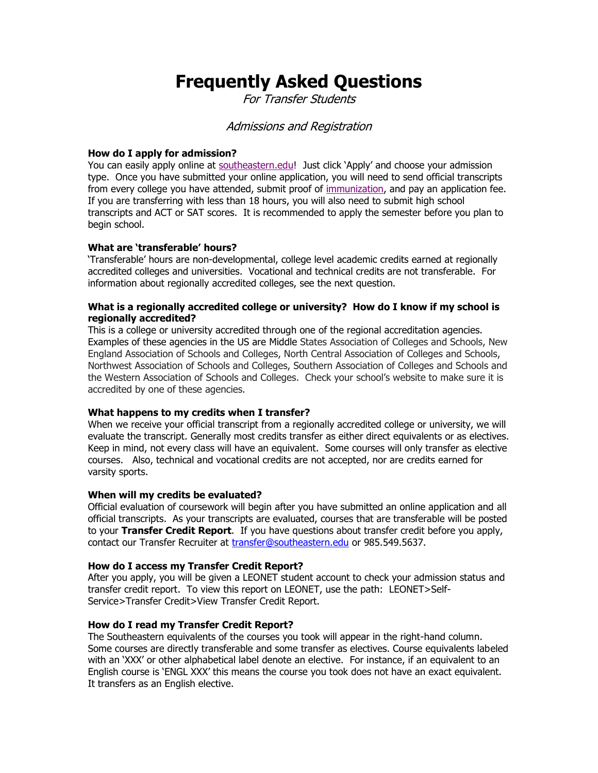# **Frequently Asked Questions**

For Transfer Students

# Admissions and Registration

# **How do I apply for admission?**

You can easily apply online at [southeastern.edu](http://www.southeastern.edu/)! Just click 'Apply' and choose your admission type. Once you have submitted your online application, you will need to send official transcripts from every college you have attended, submit proof of [immunization,](http://www.southeastern.edu/admin/admissions/assets/immun_compliance.pdf) and pay an application fee. If you are transferring with less than 18 hours, you will also need to submit high school transcripts and ACT or SAT scores. It is recommended to apply the semester before you plan to begin school.

# **What are 'transferable' hours?**

'Transferable' hours are non-developmental, college level academic credits earned at regionally accredited colleges and universities. Vocational and technical credits are not transferable. For information about regionally accredited colleges, see the next question.

## **What is a regionally accredited college or university? How do I know if my school is regionally accredited?**

This is a college or university accredited through one of the regional accreditation agencies. Examples of these agencies in the US are Middle States Association of Colleges and Schools, New England Association of Schools and Colleges, North Central Association of Colleges and Schools, Northwest Association of Schools and Colleges, Southern Association of Colleges and Schools and the Western Association of Schools and Colleges. Check your school's website to make sure it is accredited by one of these agencies.

# **What happens to my credits when I transfer?**

When we receive your official transcript from a regionally accredited college or university, we will evaluate the transcript. Generally most credits transfer as either direct equivalents or as electives. Keep in mind, not every class will have an equivalent. Some courses will only transfer as elective courses. Also, technical and vocational credits are not accepted, nor are credits earned for varsity sports.

#### **When will my credits be evaluated?**

Official evaluation of coursework will begin after you have submitted an online application and all official transcripts. As your transcripts are evaluated, courses that are transferable will be posted to your **Transfer Credit Report**. If you have questions about transfer credit before you apply, contact our Transfer Recruiter at [transfer@southeastern.edu](mailto:transfer@southeastern.edu) or 985.549.5637.

#### **How do I access my Transfer Credit Report?**

After you apply, you will be given a LEONET student account to check your admission status and transfer credit report. To view this report on LEONET, use the path: LEONET>Self-Service>Transfer Credit>View Transfer Credit Report.

#### **How do I read my Transfer Credit Report?**

The Southeastern equivalents of the courses you took will appear in the right-hand column. Some courses are directly transferable and some transfer as electives. Course equivalents labeled with an 'XXX' or other alphabetical label denote an elective. For instance, if an equivalent to an English course is 'ENGL XXX' this means the course you took does not have an exact equivalent. It transfers as an English elective.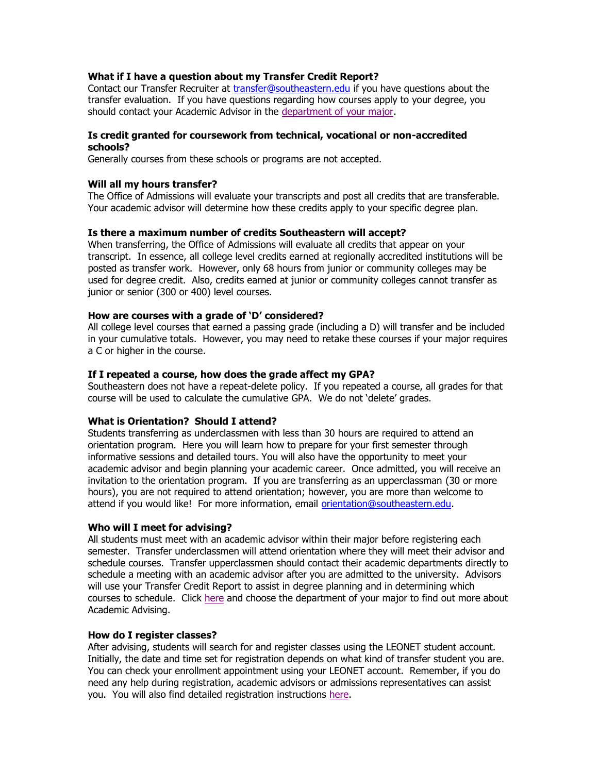# **What if I have a question about my Transfer Credit Report?**

Contact our Transfer Recruiter at [transfer@southeastern.edu](mailto:transfer@southeastern.edu) if you have questions about the transfer evaluation. If you have questions regarding how courses apply to your degree, you should contact your Academic Advisor in the [department of your major.](http://www.selu.edu/acad_research/depts/)

#### **Is credit granted for coursework from technical, vocational or non-accredited schools?**

Generally courses from these schools or programs are not accepted.

#### **Will all my hours transfer?**

The Office of Admissions will evaluate your transcripts and post all credits that are transferable. Your academic advisor will determine how these credits apply to your specific degree plan.

#### **Is there a maximum number of credits Southeastern will accept?**

When transferring, the Office of Admissions will evaluate all credits that appear on your transcript. In essence, all college level credits earned at regionally accredited institutions will be posted as transfer work. However, only 68 hours from junior or community colleges may be used for degree credit. Also, credits earned at junior or community colleges cannot transfer as junior or senior (300 or 400) level courses.

#### **How are courses with a grade of 'D' considered?**

All college level courses that earned a passing grade (including a D) will transfer and be included in your cumulative totals. However, you may need to retake these courses if your major requires a C or higher in the course.

#### **If I repeated a course, how does the grade affect my GPA?**

Southeastern does not have a repeat-delete policy. If you repeated a course, all grades for that course will be used to calculate the cumulative GPA. We do not 'delete' grades.

## **What is Orientation? Should I attend?**

Students transferring as underclassmen with less than 30 hours are required to attend an orientation program. Here you will learn how to prepare for your first semester through informative sessions and detailed tours. You will also have the opportunity to meet your academic advisor and begin planning your academic career. Once admitted, you will receive an invitation to the orientation program. If you are transferring as an upperclassman (30 or more hours), you are not required to attend orientation; however, you are more than welcome to attend if you would like! For more information, email [orientation@southeastern.edu.](orientation@southeastern.edu)

#### **Who will I meet for advising?**

All students must meet with an academic advisor within their major before registering each semester. Transfer underclassmen will attend orientation where they will meet their advisor and schedule courses. Transfer upperclassmen should contact their academic departments directly to schedule a meeting with an academic advisor after you are admitted to the university. Advisors will use your Transfer Credit Report to assist in degree planning and in determining which courses to schedule. Click [here](http://www.selu.edu/acad_research/depts/) and choose the department of your major to find out more about Academic Advising.

#### **How do I register classes?**

After advising, students will search for and register classes using the LEONET student account. Initially, the date and time set for registration depends on what kind of transfer student you are. You can check your enrollment appointment using your LEONET account. Remember, if you do need any help during registration, academic advisors or admissions representatives can assist you. You will also find detailed registration instructions [here.](http://www.selu.edu/resources/howdoi/index.html)